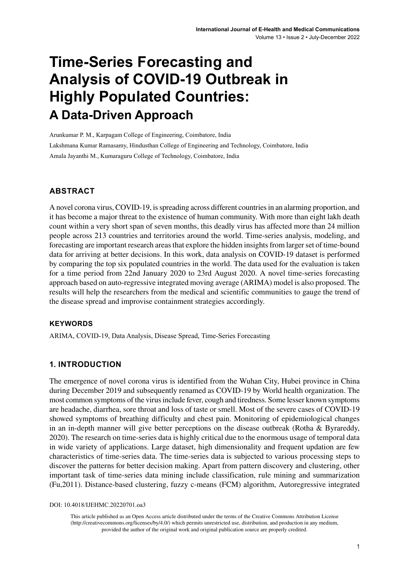# **Time-Series Forecasting and Analysis of COVID-19 Outbreak in Highly Populated Countries: A Data-Driven Approach**

Arunkumar P. M., Karpagam College of Engineering, Coimbatore, India Lakshmana Kumar Ramasamy, Hindusthan College of Engineering and Technology, Coimbatore, India Amala Jayanthi M., Kumaraguru College of Technology, Coimbatore, India

## **ABSTRACT**

A novel corona virus, COVID-19, is spreading across different countries in an alarming proportion, and it has become a major threat to the existence of human community. With more than eight lakh death count within a very short span of seven months, this deadly virus has affected more than 24 million people across 213 countries and territories around the world. Time-series analysis, modeling, and forecasting are important research areas that explore the hidden insights from larger set of time-bound data for arriving at better decisions. In this work, data analysis on COVID-19 dataset is performed by comparing the top six populated countries in the world. The data used for the evaluation is taken for a time period from 22nd January 2020 to 23rd August 2020. A novel time-series forecasting approach based on auto-regressive integrated moving average (ARIMA) model is also proposed. The results will help the researchers from the medical and scientific communities to gauge the trend of the disease spread and improvise containment strategies accordingly.

#### **Keywords**

ARIMA, COVID-19, Data Analysis, Disease Spread, Time-Series Forecasting

#### **1. INTRODUCTION**

The emergence of novel corona virus is identified from the Wuhan City, Hubei province in China during December 2019 and subsequently renamed as COVID-19 by World health organization. The most common symptoms of the virus include fever, cough and tiredness. Some lesser known symptoms are headache, diarrhea, sore throat and loss of taste or smell. Most of the severe cases of COVID-19 showed symptoms of breathing difficulty and chest pain. Monitoring of epidemiological changes in an in-depth manner will give better perceptions on the disease outbreak (Rotha & Byrareddy, 2020). The research on time-series data is highly critical due to the enormous usage of temporal data in wide variety of applications. Large dataset, high dimensionality and frequent updation are few characteristics of time-series data. The time-series data is subjected to various processing steps to discover the patterns for better decision making. Apart from pattern discovery and clustering, other important task of time-series data mining include classification, rule mining and summarization (Fu,2011). Distance-based clustering, fuzzy c-means (FCM) algorithm, Autoregressive integrated

DOI: 10.4018/IJEHMC.20220701.oa3

This article published as an Open Access article distributed under the terms of the Creative Commons Attribution License (http://creativecommons.org/licenses/by/4.0/) which permits unrestricted use, distribution, and production in any medium, provided the author of the original work and original publication source are properly credited.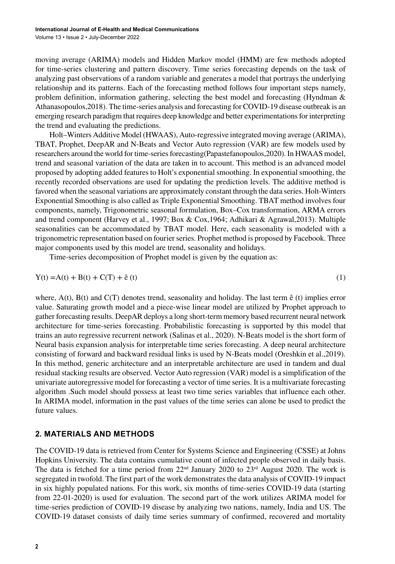moving average (ARIMA) models and Hidden Markov model (HMM) are few methods adopted for time-series clustering and pattern discovery. Time series forecasting depends on the task of analyzing past observations of a random variable and generates a model that portrays the underlying relationship and its patterns. Each of the forecasting method follows four important steps namely, problem definition, information gathering, selecting the best model and forecasting (Hyndman & Athanasopoulos,2018). The time-series analysis and forecasting for COVID-19 disease outbreak is an emerging research paradigm that requires deep knowledge and better experimentations for interpreting the trend and evaluating the predictions.

Holt–Winters Additive Model (HWAAS), Auto-regressive integrated moving average (ARIMA), TBAT, Prophet, DeepAR and N-Beats and Vector Auto regression (VAR) are few models used by researchers around the world for time-series forecasting(Papastefanopoulos,2020). In HWAAS model, trend and seasonal variation of the data are taken in to account. This method is an advanced model proposed by adopting added features to Holt's exponential smoothing. In exponential smoothing, the recently recorded observations are used for updating the prediction levels. The additive method is favored when the seasonal variations are approximately constant through the data series. Holt-Winters Exponential Smoothing is also called as Triple Exponential Smoothing. TBAT method involves four components, namely, Trigonometric seasonal formulation, Box–Cox transformation, ARMA errors and trend component (Harvey et al., 1997; Box & Cox,1964; Adhikari & Agrawal,2013). Multiple seasonalities can be accommodated by TBAT model. Here, each seasonality is modeled with a trigonometric representation based on fourier series. Prophet method is proposed by Facebook. Three major components used by this model are trend, seasonality and holidays.

Time-series decomposition of Prophet model is given by the equation as:

$$
Y(t) = A(t) + B(t) + C(T) + \hat{e}(t)
$$
\n(1)

where,  $A(t)$ ,  $B(t)$  and  $C(T)$  denotes trend, seasonality and holiday. The last term  $\hat{e}(t)$  implies error value. Saturating growth model and a piece-wise linear model are utilized by Prophet approach to gather forecasting results. DeepAR deploys a long short-term memory based recurrent neural network architecture for time-series forecasting. Probabilistic forecasting is supported by this model that trains an auto regressive recurrent network (Salinas et al., 2020). N-Beats model is the short form of Neural basis expansion analysis for interpretable time series forecasting. A deep neural architecture consisting of forward and backward residual links is used by N-Beats model (Oreshkin et al.,2019). In this method, generic architecture and an interpretable architecture are used in tandem and dual residual stacking results are observed. Vector Auto regression (VAR) model is a simplification of the univariate autoregressive model for forecasting a vector of time series. It is a multivariate forecasting algorithm .Such model should possess at least two time series variables that influence each other. In ARIMA model, information in the past values of the time series can alone be used to predict the future values.

#### **2. MATERIALS AND METHODS**

The COVID-19 data is retrieved from Center for Systems Science and Engineering (CSSE) at Johns Hopkins University. The data contains cumulative count of infected people observed in daily basis. The data is fetched for a time period from  $22<sup>nd</sup>$  January 2020 to  $23<sup>rd</sup>$  August 2020. The work is segregated in twofold. The first part of the work demonstrates the data analysis of COVID-19 impact in six highly populated nations. For this work, six months of time-series COVID-19 data (starting from 22-01-2020) is used for evaluation. The second part of the work utilizes ARIMA model for time-series prediction of COVID-19 disease by analyzing two nations, namely, India and US. The COVID-19 dataset consists of daily time series summary of confirmed, recovered and mortality